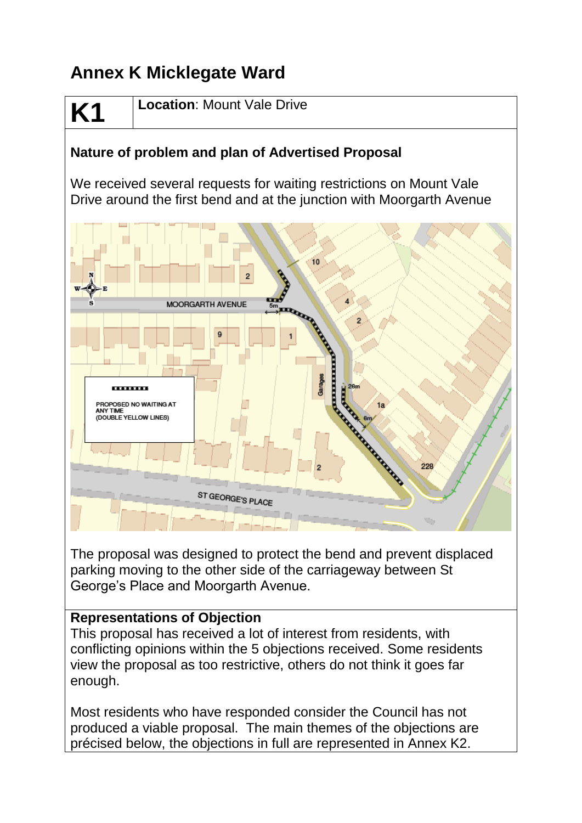# **Annex K Micklegate Ward**

# **K1**

**Location**: Mount Vale Drive

# **Nature of problem and plan of Advertised Proposal**

We received several requests for waiting restrictions on Mount Vale Drive around the first bend and at the junction with Moorgarth Avenue



The proposal was designed to protect the bend and prevent displaced parking moving to the other side of the carriageway between St George's Place and Moorgarth Avenue.

## **Representations of Objection**

This proposal has received a lot of interest from residents, with conflicting opinions within the 5 objections received. Some residents view the proposal as too restrictive, others do not think it goes far enough.

Most residents who have responded consider the Council has not produced a viable proposal. The main themes of the objections are précised below, the objections in full are represented in Annex K2.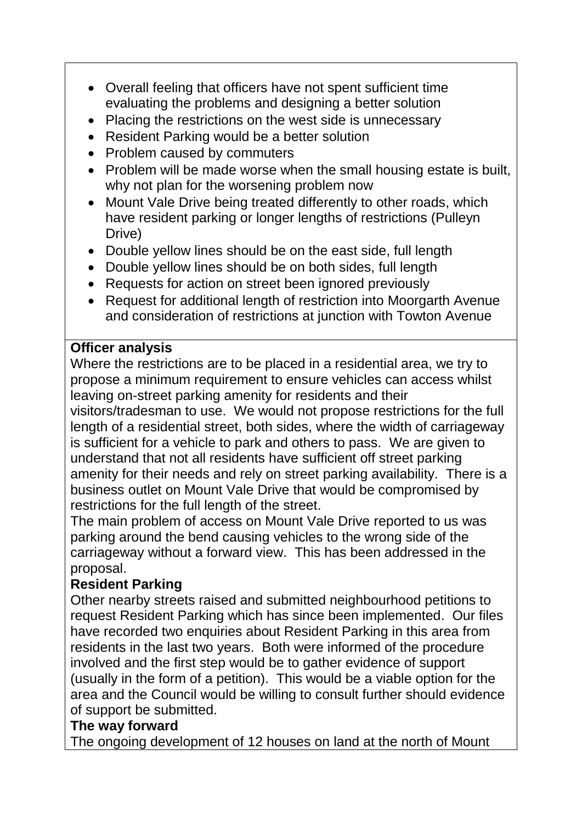- Overall feeling that officers have not spent sufficient time evaluating the problems and designing a better solution
- Placing the restrictions on the west side is unnecessary
- Resident Parking would be a better solution
- Problem caused by commuters
- Problem will be made worse when the small housing estate is built, why not plan for the worsening problem now
- Mount Vale Drive being treated differently to other roads, which have resident parking or longer lengths of restrictions (Pulleyn Drive)
- Double yellow lines should be on the east side, full length
- Double yellow lines should be on both sides, full length
- Requests for action on street been ignored previously
- Request for additional length of restriction into Moorgarth Avenue and consideration of restrictions at junction with Towton Avenue

#### **Officer analysis**

Where the restrictions are to be placed in a residential area, we try to propose a minimum requirement to ensure vehicles can access whilst leaving on-street parking amenity for residents and their

visitors/tradesman to use. We would not propose restrictions for the full length of a residential street, both sides, where the width of carriageway is sufficient for a vehicle to park and others to pass. We are given to understand that not all residents have sufficient off street parking amenity for their needs and rely on street parking availability. There is a business outlet on Mount Vale Drive that would be compromised by restrictions for the full length of the street.

The main problem of access on Mount Vale Drive reported to us was parking around the bend causing vehicles to the wrong side of the carriageway without a forward view. This has been addressed in the proposal.

## **Resident Parking**

Other nearby streets raised and submitted neighbourhood petitions to request Resident Parking which has since been implemented. Our files have recorded two enquiries about Resident Parking in this area from residents in the last two years. Both were informed of the procedure involved and the first step would be to gather evidence of support (usually in the form of a petition). This would be a viable option for the area and the Council would be willing to consult further should evidence of support be submitted.

## **The way forward**

The ongoing development of 12 houses on land at the north of Mount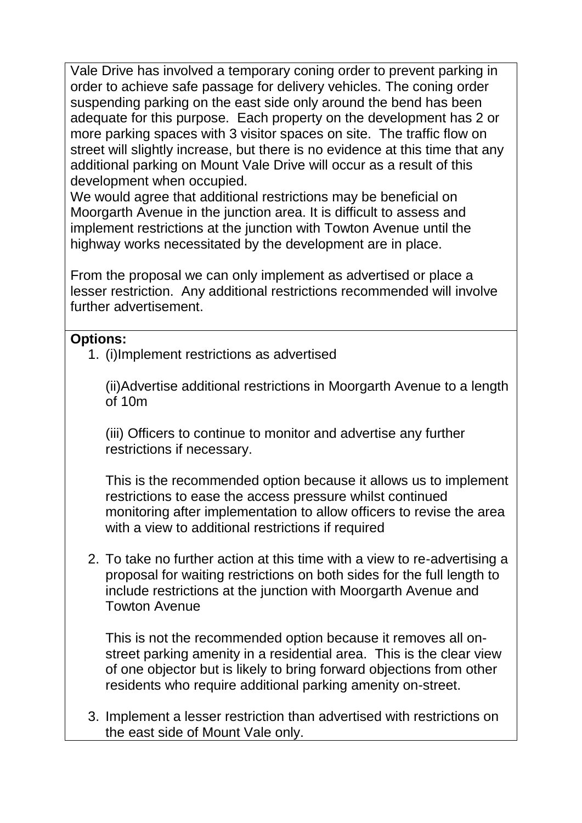Vale Drive has involved a temporary coning order to prevent parking in order to achieve safe passage for delivery vehicles. The coning order suspending parking on the east side only around the bend has been adequate for this purpose. Each property on the development has 2 or more parking spaces with 3 visitor spaces on site. The traffic flow on street will slightly increase, but there is no evidence at this time that any additional parking on Mount Vale Drive will occur as a result of this development when occupied.

We would agree that additional restrictions may be beneficial on Moorgarth Avenue in the junction area. It is difficult to assess and implement restrictions at the junction with Towton Avenue until the highway works necessitated by the development are in place.

From the proposal we can only implement as advertised or place a lesser restriction. Any additional restrictions recommended will involve further advertisement.

#### **Options:**

1. (i)Implement restrictions as advertised

(ii)Advertise additional restrictions in Moorgarth Avenue to a length of 10m

(iii) Officers to continue to monitor and advertise any further restrictions if necessary.

This is the recommended option because it allows us to implement restrictions to ease the access pressure whilst continued monitoring after implementation to allow officers to revise the area with a view to additional restrictions if required

2. To take no further action at this time with a view to re-advertising a proposal for waiting restrictions on both sides for the full length to include restrictions at the junction with Moorgarth Avenue and Towton Avenue

This is not the recommended option because it removes all onstreet parking amenity in a residential area. This is the clear view of one objector but is likely to bring forward objections from other residents who require additional parking amenity on-street.

3. Implement a lesser restriction than advertised with restrictions on the east side of Mount Vale only.